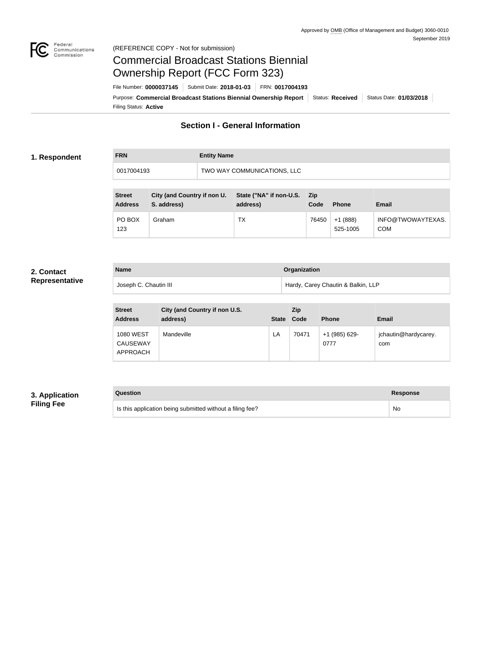

#### Federal<br>Communications<br>Commission (REFERENCE COPY - Not for submission)

# Commercial Broadcast Stations Biennial Ownership Report (FCC Form 323)

Filing Status: **Active** Purpose: Commercial Broadcast Stations Biennial Ownership Report Status: Received Status Date: 01/03/2018 File Number: **0000037145** Submit Date: **2018-01-03** FRN: **0017004193**

## **Section I - General Information**

#### **1. Respondent**

| <b>FRN</b> | <b>Entity Name</b>          |
|------------|-----------------------------|
| 0017004193 | TWO WAY COMMUNICATIONS, LLC |

| <b>Street</b><br><b>Address</b> | City (and Country if non U.<br>S. address) | State ("NA" if non-U.S.<br>address) | - Zip<br>Code | <b>Phone</b>          | <b>Email</b>                    |
|---------------------------------|--------------------------------------------|-------------------------------------|---------------|-----------------------|---------------------------------|
| PO BOX<br>123                   | Graham                                     | ТX                                  | 76450         | $+1(888)$<br>525-1005 | INFO@TWOWAYTEXAS.<br><b>COM</b> |

#### **2. Contact Representative**

| <b>Name</b>           | Organization                       |
|-----------------------|------------------------------------|
| Joseph C. Chautin III | Hardy, Carey Chautin & Balkin, LLP |

| <b>Street</b><br><b>Address</b>                 | City (and Country if non U.S.<br>address) | <b>State</b> | <b>Zip</b><br>Code | <b>Phone</b>          | <b>Email</b>                |
|-------------------------------------------------|-------------------------------------------|--------------|--------------------|-----------------------|-----------------------------|
| <b>1080 WEST</b><br><b>CAUSEWAY</b><br>APPROACH | Mandeville                                | LA           | 70471              | +1 (985) 629-<br>0777 | jchautin@hardycarey.<br>com |

#### **3. Application Filing Fee**

#### **Question Response**

Is this application being submitted without a filing fee? No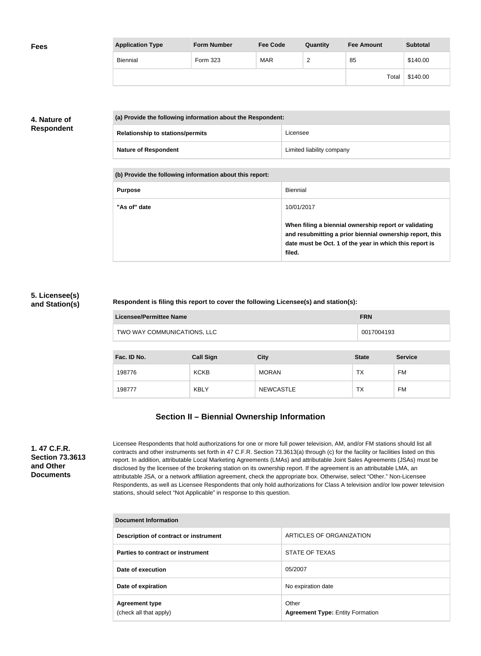| <b>Fees</b> | <b>Application Type</b> | <b>Form Number</b> | <b>Fee Code</b> | Quantity      | <b>Fee Amount</b> | <b>Subtotal</b> |
|-------------|-------------------------|--------------------|-----------------|---------------|-------------------|-----------------|
|             | Biennial                | Form 323           | <b>MAR</b>      | ີ<br><u>_</u> | 85                | \$140.00        |
|             |                         |                    |                 |               | Total             | \$140.00        |

### **4. Nature of Respondent**

| (a) Provide the following information about the Respondent: |                           |  |
|-------------------------------------------------------------|---------------------------|--|
| <b>Relationship to stations/permits</b>                     | Licensee                  |  |
| <b>Nature of Respondent</b>                                 | Limited liability company |  |

**(b) Provide the following information about this report:**

| <b>Purpose</b> | Biennial                                                                                                                                                                               |
|----------------|----------------------------------------------------------------------------------------------------------------------------------------------------------------------------------------|
| "As of" date   | 10/01/2017                                                                                                                                                                             |
|                | When filing a biennial ownership report or validating<br>and resubmitting a prior biennial ownership report, this<br>date must be Oct. 1 of the year in which this report is<br>filed. |

#### **5. Licensee(s) and Station(s)**

#### **Respondent is filing this report to cover the following Licensee(s) and station(s):**

| Licensee/Permittee Name     | <b>FRN</b> |
|-----------------------------|------------|
| TWO WAY COMMUNICATIONS, LLC | 0017004193 |

| Fac. ID No. | <b>Call Sign</b> | <b>City</b>      | <b>State</b> | <b>Service</b> |
|-------------|------------------|------------------|--------------|----------------|
| 198776      | <b>KCKB</b>      | <b>MORAN</b>     | TX           | FM             |
| 198777      | <b>KBLY</b>      | <b>NEWCASTLE</b> | ТX           | FM             |

## **Section II – Biennial Ownership Information**

**1. 47 C.F.R. Section 73.3613 and Other Documents**

Licensee Respondents that hold authorizations for one or more full power television, AM, and/or FM stations should list all contracts and other instruments set forth in 47 C.F.R. Section 73.3613(a) through (c) for the facility or facilities listed on this report. In addition, attributable Local Marketing Agreements (LMAs) and attributable Joint Sales Agreements (JSAs) must be disclosed by the licensee of the brokering station on its ownership report. If the agreement is an attributable LMA, an attributable JSA, or a network affiliation agreement, check the appropriate box. Otherwise, select "Other." Non-Licensee Respondents, as well as Licensee Respondents that only hold authorizations for Class A television and/or low power television stations, should select "Not Applicable" in response to this question.

| Document Information                            |                                                  |
|-------------------------------------------------|--------------------------------------------------|
| Description of contract or instrument           | ARTICLES OF ORGANIZATION                         |
| Parties to contract or instrument               | STATE OF TEXAS                                   |
| Date of execution                               | 05/2007                                          |
| Date of expiration                              | No expiration date                               |
| <b>Agreement type</b><br>(check all that apply) | Other<br><b>Agreement Type: Entity Formation</b> |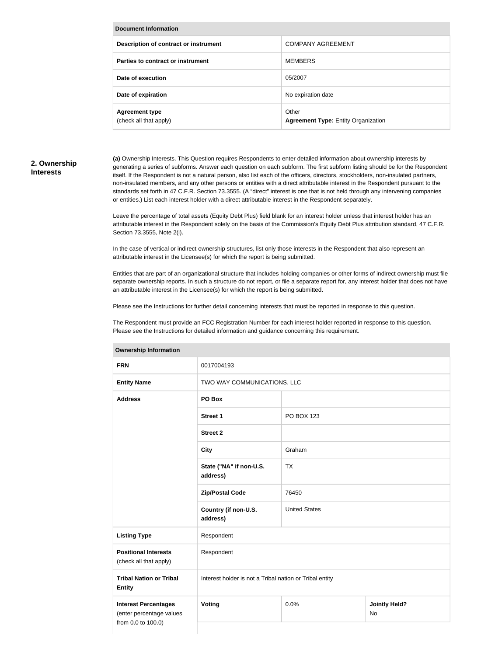| Document Information                            |                                                     |  |
|-------------------------------------------------|-----------------------------------------------------|--|
| Description of contract or instrument           | <b>COMPANY AGREEMENT</b>                            |  |
| Parties to contract or instrument               | <b>MEMBERS</b>                                      |  |
| Date of execution                               | 05/2007                                             |  |
| Date of expiration                              | No expiration date                                  |  |
| <b>Agreement type</b><br>(check all that apply) | Other<br><b>Agreement Type: Entity Organization</b> |  |

#### **2. Ownership Interests**

**(a)** Ownership Interests. This Question requires Respondents to enter detailed information about ownership interests by generating a series of subforms. Answer each question on each subform. The first subform listing should be for the Respondent itself. If the Respondent is not a natural person, also list each of the officers, directors, stockholders, non-insulated partners, non-insulated members, and any other persons or entities with a direct attributable interest in the Respondent pursuant to the standards set forth in 47 C.F.R. Section 73.3555. (A "direct" interest is one that is not held through any intervening companies or entities.) List each interest holder with a direct attributable interest in the Respondent separately.

Leave the percentage of total assets (Equity Debt Plus) field blank for an interest holder unless that interest holder has an attributable interest in the Respondent solely on the basis of the Commission's Equity Debt Plus attribution standard, 47 C.F.R. Section 73.3555, Note 2(i).

In the case of vertical or indirect ownership structures, list only those interests in the Respondent that also represent an attributable interest in the Licensee(s) for which the report is being submitted.

Entities that are part of an organizational structure that includes holding companies or other forms of indirect ownership must file separate ownership reports. In such a structure do not report, or file a separate report for, any interest holder that does not have an attributable interest in the Licensee(s) for which the report is being submitted.

Please see the Instructions for further detail concerning interests that must be reported in response to this question.

The Respondent must provide an FCC Registration Number for each interest holder reported in response to this question. Please see the Instructions for detailed information and guidance concerning this requirement.

| <b>FRN</b>                                                                    | 0017004193                                              |                      |                                   |  |
|-------------------------------------------------------------------------------|---------------------------------------------------------|----------------------|-----------------------------------|--|
| <b>Entity Name</b>                                                            | TWO WAY COMMUNICATIONS, LLC                             |                      |                                   |  |
| <b>Address</b>                                                                | PO Box                                                  |                      |                                   |  |
|                                                                               | <b>Street 1</b>                                         | PO BOX 123           |                                   |  |
|                                                                               | <b>Street 2</b>                                         |                      |                                   |  |
|                                                                               | <b>City</b>                                             | Graham               |                                   |  |
|                                                                               | State ("NA" if non-U.S.<br>address)                     | <b>TX</b>            |                                   |  |
|                                                                               | <b>Zip/Postal Code</b>                                  | 76450                |                                   |  |
|                                                                               | Country (if non-U.S.<br>address)                        | <b>United States</b> |                                   |  |
| <b>Listing Type</b>                                                           | Respondent                                              |                      |                                   |  |
| <b>Positional Interests</b><br>(check all that apply)                         | Respondent                                              |                      |                                   |  |
| <b>Tribal Nation or Tribal</b><br><b>Entity</b>                               | Interest holder is not a Tribal nation or Tribal entity |                      |                                   |  |
| <b>Interest Percentages</b><br>(enter percentage values<br>from 0.0 to 100.0) | Voting                                                  | 0.0%                 | <b>Jointly Held?</b><br><b>No</b> |  |
|                                                                               |                                                         |                      |                                   |  |

#### **Ownership Information**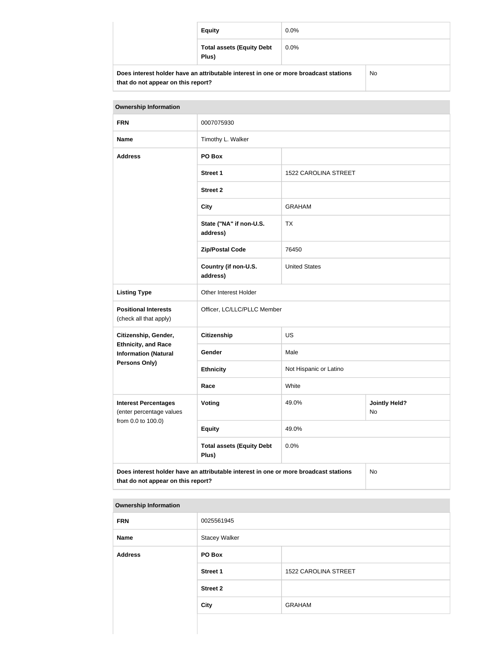|                                                                                      | <b>Equity</b><br>$0.0\%$                  |         |    |
|--------------------------------------------------------------------------------------|-------------------------------------------|---------|----|
|                                                                                      | <b>Total assets (Equity Debt</b><br>Plus) | $0.0\%$ |    |
| Does interest holder have an attributable interest in one or more broadcast stations |                                           |         | No |

| <b>Ownership Information</b>                                                                                                     |                                           |                        |                            |
|----------------------------------------------------------------------------------------------------------------------------------|-------------------------------------------|------------------------|----------------------------|
| <b>FRN</b>                                                                                                                       | 0007075930                                |                        |                            |
| <b>Name</b>                                                                                                                      | Timothy L. Walker                         |                        |                            |
| <b>Address</b>                                                                                                                   | PO Box                                    |                        |                            |
|                                                                                                                                  | <b>Street 1</b>                           | 1522 CAROLINA STREET   |                            |
|                                                                                                                                  | <b>Street 2</b>                           |                        |                            |
|                                                                                                                                  | <b>City</b>                               | <b>GRAHAM</b>          |                            |
|                                                                                                                                  | State ("NA" if non-U.S.<br>address)       | <b>TX</b>              |                            |
|                                                                                                                                  | <b>Zip/Postal Code</b>                    | 76450                  |                            |
|                                                                                                                                  | Country (if non-U.S.<br>address)          | <b>United States</b>   |                            |
| <b>Listing Type</b>                                                                                                              | Other Interest Holder                     |                        |                            |
| <b>Positional Interests</b><br>(check all that apply)                                                                            | Officer, LC/LLC/PLLC Member               |                        |                            |
| Citizenship, Gender,                                                                                                             | <b>Citizenship</b>                        | <b>US</b>              |                            |
| <b>Ethnicity, and Race</b><br><b>Information (Natural</b>                                                                        | Gender                                    | Male                   |                            |
| <b>Persons Only)</b>                                                                                                             | <b>Ethnicity</b>                          | Not Hispanic or Latino |                            |
|                                                                                                                                  | Race                                      | White                  |                            |
| <b>Interest Percentages</b><br>(enter percentage values                                                                          | Voting                                    | 49.0%                  | <b>Jointly Held?</b><br>No |
| from 0.0 to 100.0)                                                                                                               | <b>Equity</b>                             | 49.0%                  |                            |
|                                                                                                                                  | <b>Total assets (Equity Debt</b><br>Plus) | 0.0%                   |                            |
| Does interest holder have an attributable interest in one or more broadcast stations<br>No<br>that do not appear on this report? |                                           |                        |                            |

#### **Ownership Information**

**that do not appear on this report?**

| <b>FRN</b>     | 0025561945           |                      |
|----------------|----------------------|----------------------|
| <b>Name</b>    | <b>Stacey Walker</b> |                      |
| <b>Address</b> | PO Box               |                      |
|                | <b>Street 1</b>      | 1522 CAROLINA STREET |
|                | <b>Street 2</b>      |                      |
|                | <b>City</b>          | <b>GRAHAM</b>        |
|                |                      |                      |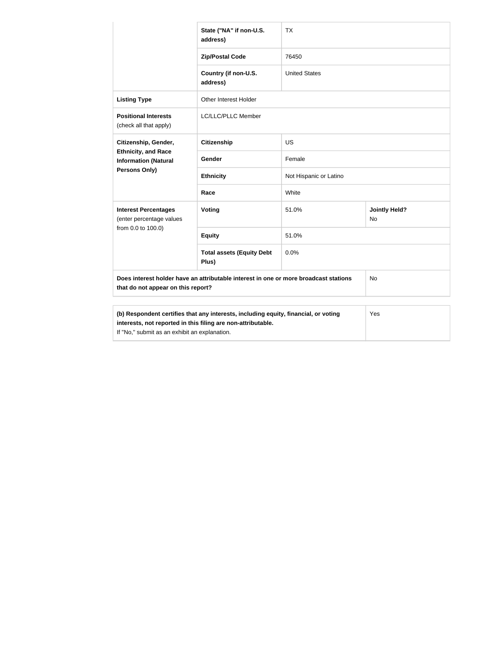|                                                                                                                                                     | State ("NA" if non-U.S.<br>address)       | <b>TX</b>              |                             |
|-----------------------------------------------------------------------------------------------------------------------------------------------------|-------------------------------------------|------------------------|-----------------------------|
|                                                                                                                                                     | <b>Zip/Postal Code</b>                    | 76450                  |                             |
|                                                                                                                                                     | Country (if non-U.S.<br>address)          | <b>United States</b>   |                             |
| <b>Listing Type</b>                                                                                                                                 | Other Interest Holder                     |                        |                             |
| <b>Positional Interests</b><br>(check all that apply)                                                                                               | LC/LLC/PLLC Member                        |                        |                             |
| Citizenship, Gender,                                                                                                                                | <b>Citizenship</b>                        | <b>US</b>              |                             |
| <b>Ethnicity, and Race</b><br><b>Information (Natural</b><br>Persons Only)                                                                          | Gender                                    | Female                 |                             |
|                                                                                                                                                     | <b>Ethnicity</b>                          | Not Hispanic or Latino |                             |
|                                                                                                                                                     | Race                                      | White                  |                             |
| <b>Interest Percentages</b><br>(enter percentage values                                                                                             | Voting                                    | 51.0%                  | <b>Jointly Held?</b><br>No. |
| from 0.0 to 100.0)                                                                                                                                  | <b>Equity</b>                             | 51.0%                  |                             |
|                                                                                                                                                     | <b>Total assets (Equity Debt</b><br>Plus) | 0.0%                   |                             |
| Does interest holder have an attributable interest in one or more broadcast stations<br>that do not appear on this report?                          |                                           | <b>No</b>              |                             |
|                                                                                                                                                     |                                           |                        |                             |
| (b) Respondent certifies that any interests, including equity, financial, or voting<br>interests, not reported in this filing are non-attributable. |                                           |                        | Yes                         |

If "No," submit as an exhibit an explanation.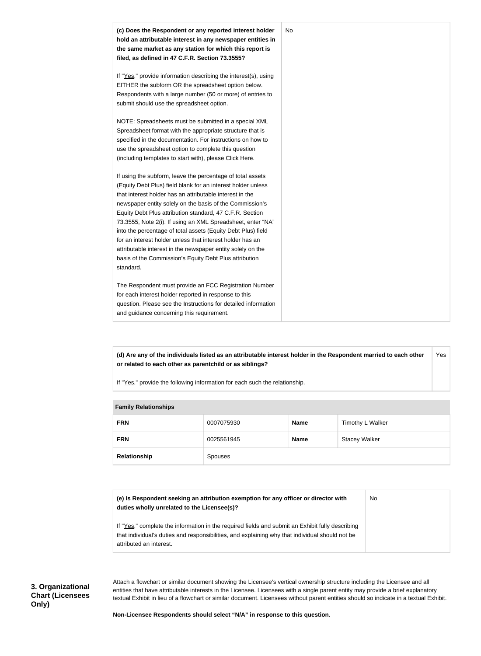

**(d) Are any of the individuals listed as an attributable interest holder in the Respondent married to each other or related to each other as parentchild or as siblings?** Yes

If "Yes," provide the following information for each such the relationship.

| <b>Lattilly Incidential Inpo</b> |              |            |             |                      |
|----------------------------------|--------------|------------|-------------|----------------------|
|                                  | <b>FRN</b>   | 0007075930 | <b>Name</b> | Timothy L Walker     |
|                                  | <b>FRN</b>   | 0025561945 | <b>Name</b> | <b>Stacey Walker</b> |
|                                  | Relationship | Spouses    |             |                      |

| <b>Family Relationships</b> |  |
|-----------------------------|--|

| (e) Is Respondent seeking an attribution exemption for any officer or director with<br>duties wholly unrelated to the Licensee(s)?                                                                                             | No |
|--------------------------------------------------------------------------------------------------------------------------------------------------------------------------------------------------------------------------------|----|
| If "Yes," complete the information in the required fields and submit an Exhibit fully describing<br>that individual's duties and responsibilities, and explaining why that individual should not be<br>attributed an interest. |    |

Attach a flowchart or similar document showing the Licensee's vertical ownership structure including the Licensee and all entities that have attributable interests in the Licensee. Licensees with a single parent entity may provide a brief explanatory textual Exhibit in lieu of a flowchart or similar document. Licensees without parent entities should so indicate in a textual Exhibit.

**Non-Licensee Respondents should select "N/A" in response to this question.**